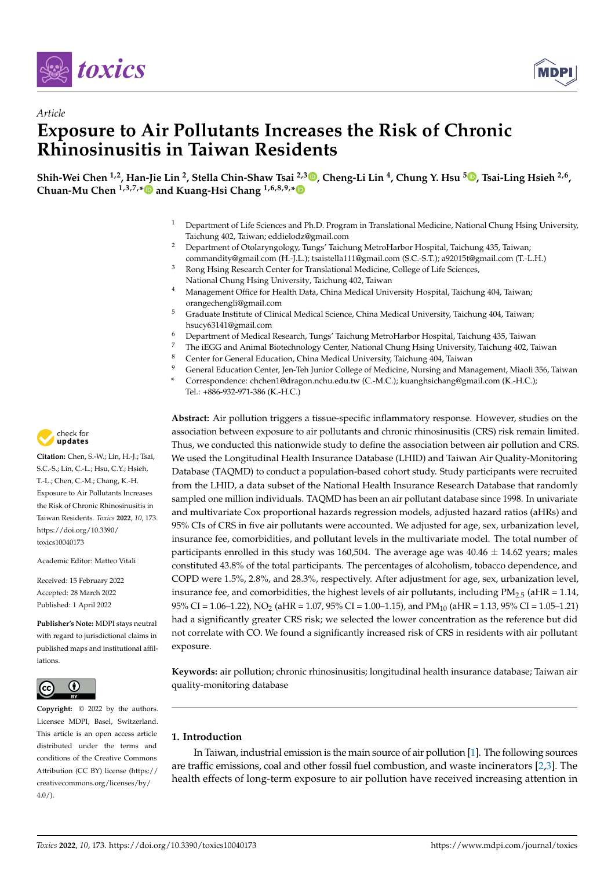



# *Article* **Exposure to Air Pollutants Increases the Risk of Chronic Rhinosinusitis in Taiwan Residents**

**Shih-Wei Chen 1,2, Han-Jie Lin <sup>2</sup> , Stella Chin-Shaw Tsai 2,3 [,](https://orcid.org/0000-0003-2694-1207) Cheng-Li Lin <sup>4</sup> , Chung Y. Hsu [5](https://orcid.org/0000-0002-5632-2733) , Tsai-Ling Hsieh 2,6 , Chuan-Mu Chen 1,3,7,[\\*](https://orcid.org/0000-0003-2461-9150) and Kuang-Hsi Chang 1,6,8,9,[\\*](https://orcid.org/0000-0002-4453-0068)**

- <sup>1</sup> Department of Life Sciences and Ph.D. Program in Translational Medicine, National Chung Hsing University, Taichung 402, Taiwan; eddielodz@gmail.com
- <sup>2</sup> Department of Otolaryngology, Tungs' Taichung MetroHarbor Hospital, Taichung 435, Taiwan; commandity@gmail.com (H.-J.L.); tsaistella111@gmail.com (S.C.-S.T.); a92015t@gmail.com (T.-L.H.) <sup>3</sup> Rong Hsing Research Center for Translational Medicine, College of Life Sciences,
- National Chung Hsing University, Taichung 402, Taiwan
- <sup>4</sup> Management Office for Health Data, China Medical University Hospital, Taichung 404, Taiwan; orangechengli@gmail.com
- <sup>5</sup> Graduate Institute of Clinical Medical Science, China Medical University, Taichung 404, Taiwan; hsucy63141@gmail.com
- <sup>6</sup> Department of Medical Research, Tungs' Taichung MetroHarbor Hospital, Taichung 435, Taiwan
- <sup>7</sup> The iEGG and Animal Biotechnology Center, National Chung Hsing University, Taichung 402, Taiwan
- <sup>8</sup> Center for General Education, China Medical University, Taichung 404, Taiwan
- <sup>9</sup> General Education Center, Jen-Teh Junior College of Medicine, Nursing and Management, Miaoli 356, Taiwan
- **\*** Correspondence: chchen1@dragon.nchu.edu.tw (C.-M.C.); kuanghsichang@gmail.com (K.-H.C.); Tel.: +886-932-971-386 (K.-H.C.)

**Abstract:** Air pollution triggers a tissue-specific inflammatory response. However, studies on the association between exposure to air pollutants and chronic rhinosinusitis (CRS) risk remain limited. Thus, we conducted this nationwide study to define the association between air pollution and CRS. We used the Longitudinal Health Insurance Database (LHID) and Taiwan Air Quality-Monitoring Database (TAQMD) to conduct a population-based cohort study. Study participants were recruited from the LHID, a data subset of the National Health Insurance Research Database that randomly sampled one million individuals. TAQMD has been an air pollutant database since 1998. In univariate and multivariate Cox proportional hazards regression models, adjusted hazard ratios (aHRs) and 95% CIs of CRS in five air pollutants were accounted. We adjusted for age, sex, urbanization level, insurance fee, comorbidities, and pollutant levels in the multivariate model. The total number of participants enrolled in this study was 160,504. The average age was  $40.46 \pm 14.62$  years; males constituted 43.8% of the total participants. The percentages of alcoholism, tobacco dependence, and COPD were 1.5%, 2.8%, and 28.3%, respectively. After adjustment for age, sex, urbanization level, insurance fee, and comorbidities, the highest levels of air pollutants, including  $PM_{2.5}$  (aHR = 1.14, 95% CI = 1.06–1.22), NO<sub>2</sub> (aHR = 1.07, 95% CI = 1.00–1.15), and PM<sub>10</sub> (aHR = 1.13, 95% CI = 1.05–1.21) had a significantly greater CRS risk; we selected the lower concentration as the reference but did not correlate with CO. We found a significantly increased risk of CRS in residents with air pollutant exposure.

**Keywords:** air pollution; chronic rhinosinusitis; longitudinal health insurance database; Taiwan air quality-monitoring database

## **1. Introduction**

In Taiwan, industrial emission is the main source of air pollution [\[1\]](#page-7-0). The following sources are traffic emissions, coal and other fossil fuel combustion, and waste incinerators  $[2,3]$  $[2,3]$ . The health effects of long-term exposure to air pollution have received increasing attention in



**Citation:** Chen, S.-W.; Lin, H.-J.; Tsai, S.C.-S.; Lin, C.-L.; Hsu, C.Y.; Hsieh, T.-L.; Chen, C.-M.; Chang, K.-H. Exposure to Air Pollutants Increases the Risk of Chronic Rhinosinusitis in Taiwan Residents. *Toxics* **2022**, *10*, 173. [https://doi.org/10.3390/](https://doi.org/10.3390/toxics10040173) [toxics10040173](https://doi.org/10.3390/toxics10040173)

Academic Editor: Matteo Vitali

Received: 15 February 2022 Accepted: 28 March 2022 Published: 1 April 2022

**Publisher's Note:** MDPI stays neutral with regard to jurisdictional claims in published maps and institutional affiliations.



**Copyright:** © 2022 by the authors. Licensee MDPI, Basel, Switzerland. This article is an open access article distributed under the terms and conditions of the Creative Commons Attribution (CC BY) license [\(https://](https://creativecommons.org/licenses/by/4.0/) [creativecommons.org/licenses/by/](https://creativecommons.org/licenses/by/4.0/)  $4.0/$ ).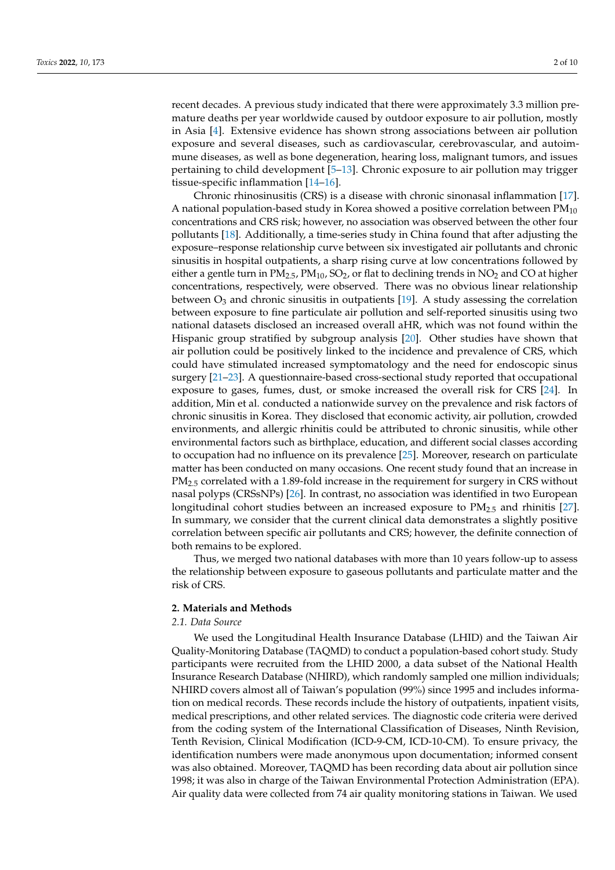recent decades. A previous study indicated that there were approximately 3.3 million premature deaths per year worldwide caused by outdoor exposure to air pollution, mostly in Asia [\[4\]](#page-7-3). Extensive evidence has shown strong associations between air pollution exposure and several diseases, such as cardiovascular, cerebrovascular, and autoimmune diseases, as well as bone degeneration, hearing loss, malignant tumors, and issues pertaining to child development [\[5–](#page-7-4)[13\]](#page-8-0). Chronic exposure to air pollution may trigger tissue-specific inflammation [\[14](#page-8-1)[–16\]](#page-8-2).

Chronic rhinosinusitis (CRS) is a disease with chronic sinonasal inflammation [\[17\]](#page-8-3). A national population-based study in Korea showed a positive correlation between  $PM_{10}$ concentrations and CRS risk; however, no association was observed between the other four pollutants [\[18\]](#page-8-4). Additionally, a time-series study in China found that after adjusting the exposure–response relationship curve between six investigated air pollutants and chronic sinusitis in hospital outpatients, a sharp rising curve at low concentrations followed by either a gentle turn in  $PM_{2.5}$ ,  $PM_{10}$ ,  $SO_2$ , or flat to declining trends in  $NO_2$  and CO at higher concentrations, respectively, were observed. There was no obvious linear relationship between  $O_3$  and chronic sinusitis in outpatients [\[19\]](#page-8-5). A study assessing the correlation between exposure to fine particulate air pollution and self-reported sinusitis using two national datasets disclosed an increased overall aHR, which was not found within the Hispanic group stratified by subgroup analysis [\[20\]](#page-8-6). Other studies have shown that air pollution could be positively linked to the incidence and prevalence of CRS, which could have stimulated increased symptomatology and the need for endoscopic sinus surgery [\[21–](#page-8-7)[23\]](#page-8-8). A questionnaire-based cross-sectional study reported that occupational exposure to gases, fumes, dust, or smoke increased the overall risk for CRS [\[24\]](#page-8-9). In addition, Min et al. conducted a nationwide survey on the prevalence and risk factors of chronic sinusitis in Korea. They disclosed that economic activity, air pollution, crowded environments, and allergic rhinitis could be attributed to chronic sinusitis, while other environmental factors such as birthplace, education, and different social classes according to occupation had no influence on its prevalence [\[25\]](#page-8-10). Moreover, research on particulate matter has been conducted on many occasions. One recent study found that an increase in PM<sub>2.5</sub> correlated with a 1.89-fold increase in the requirement for surgery in CRS without nasal polyps (CRSsNPs) [\[26\]](#page-8-11). In contrast, no association was identified in two European longitudinal cohort studies between an increased exposure to  $PM_{2.5}$  and rhinitis [\[27\]](#page-8-12). In summary, we consider that the current clinical data demonstrates a slightly positive correlation between specific air pollutants and CRS; however, the definite connection of both remains to be explored.

Thus, we merged two national databases with more than 10 years follow-up to assess the relationship between exposure to gaseous pollutants and particulate matter and the risk of CRS.

#### **2. Materials and Methods**

#### *2.1. Data Source*

We used the Longitudinal Health Insurance Database (LHID) and the Taiwan Air Quality-Monitoring Database (TAQMD) to conduct a population-based cohort study. Study participants were recruited from the LHID 2000, a data subset of the National Health Insurance Research Database (NHIRD), which randomly sampled one million individuals; NHIRD covers almost all of Taiwan's population (99%) since 1995 and includes information on medical records. These records include the history of outpatients, inpatient visits, medical prescriptions, and other related services. The diagnostic code criteria were derived from the coding system of the International Classification of Diseases, Ninth Revision, Tenth Revision, Clinical Modification (ICD-9-CM, ICD-10-CM). To ensure privacy, the identification numbers were made anonymous upon documentation; informed consent was also obtained. Moreover, TAQMD has been recording data about air pollution since 1998; it was also in charge of the Taiwan Environmental Protection Administration (EPA). Air quality data were collected from 74 air quality monitoring stations in Taiwan. We used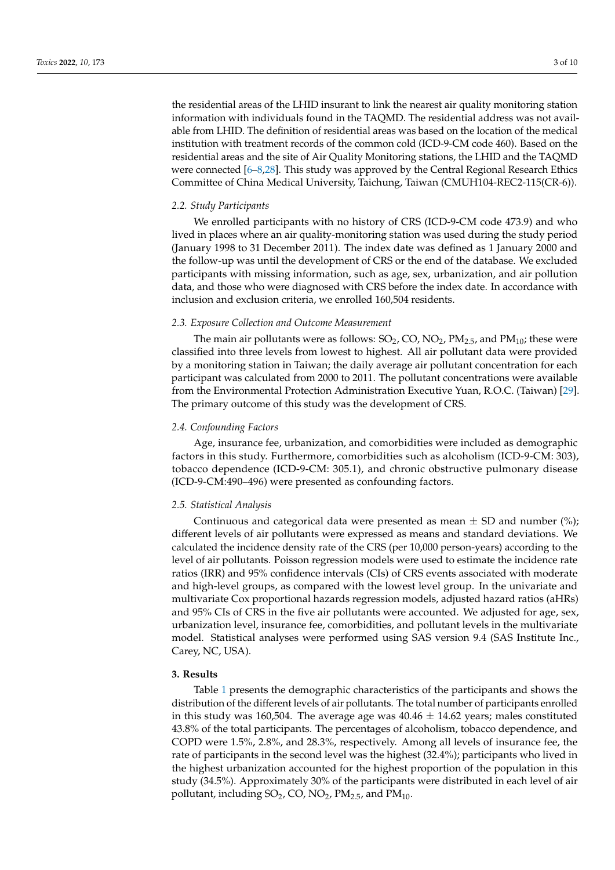the residential areas of the LHID insurant to link the nearest air quality monitoring station information with individuals found in the TAQMD. The residential address was not available from LHID. The definition of residential areas was based on the location of the medical institution with treatment records of the common cold (ICD-9-CM code 460). Based on the residential areas and the site of Air Quality Monitoring stations, the LHID and the TAQMD were connected [\[6](#page-7-5)[–8,](#page-7-6)[28\]](#page-8-13). This study was approved by the Central Regional Research Ethics Committee of China Medical University, Taichung, Taiwan (CMUH104-REC2-115(CR-6)).

#### *2.2. Study Participants*

We enrolled participants with no history of CRS (ICD-9-CM code 473.9) and who lived in places where an air quality-monitoring station was used during the study period (January 1998 to 31 December 2011). The index date was defined as 1 January 2000 and the follow-up was until the development of CRS or the end of the database. We excluded participants with missing information, such as age, sex, urbanization, and air pollution data, and those who were diagnosed with CRS before the index date. In accordance with inclusion and exclusion criteria, we enrolled 160,504 residents.

#### *2.3. Exposure Collection and Outcome Measurement*

The main air pollutants were as follows:  $SO_2$ ,  $CO$ ,  $NO_2$ ,  $PM_{2.5}$ , and  $PM_{10}$ ; these were classified into three levels from lowest to highest. All air pollutant data were provided by a monitoring station in Taiwan; the daily average air pollutant concentration for each participant was calculated from 2000 to 2011. The pollutant concentrations were available from the Environmental Protection Administration Executive Yuan, R.O.C. (Taiwan) [\[29\]](#page-8-14). The primary outcome of this study was the development of CRS.

#### *2.4. Confounding Factors*

Age, insurance fee, urbanization, and comorbidities were included as demographic factors in this study. Furthermore, comorbidities such as alcoholism (ICD-9-CM: 303), tobacco dependence (ICD-9-CM: 305.1), and chronic obstructive pulmonary disease (ICD-9-CM:490–496) were presented as confounding factors.

#### *2.5. Statistical Analysis*

Continuous and categorical data were presented as mean  $\pm$  SD and number (%); different levels of air pollutants were expressed as means and standard deviations. We calculated the incidence density rate of the CRS (per 10,000 person-years) according to the level of air pollutants. Poisson regression models were used to estimate the incidence rate ratios (IRR) and 95% confidence intervals (CIs) of CRS events associated with moderate and high-level groups, as compared with the lowest level group. In the univariate and multivariate Cox proportional hazards regression models, adjusted hazard ratios (aHRs) and 95% CIs of CRS in the five air pollutants were accounted. We adjusted for age, sex, urbanization level, insurance fee, comorbidities, and pollutant levels in the multivariate model. Statistical analyses were performed using SAS version 9.4 (SAS Institute Inc., Carey, NC, USA).

#### **3. Results**

Table [1](#page-3-0) presents the demographic characteristics of the participants and shows the distribution of the different levels of air pollutants. The total number of participants enrolled in this study was 160,504. The average age was  $40.46 \pm 14.62$  years; males constituted 43.8% of the total participants. The percentages of alcoholism, tobacco dependence, and COPD were 1.5%, 2.8%, and 28.3%, respectively. Among all levels of insurance fee, the rate of participants in the second level was the highest (32.4%); participants who lived in the highest urbanization accounted for the highest proportion of the population in this study (34.5%). Approximately 30% of the participants were distributed in each level of air pollutant, including  $SO_2$ , CO, NO<sub>2</sub>, PM<sub>2.5</sub>, and PM<sub>10</sub>.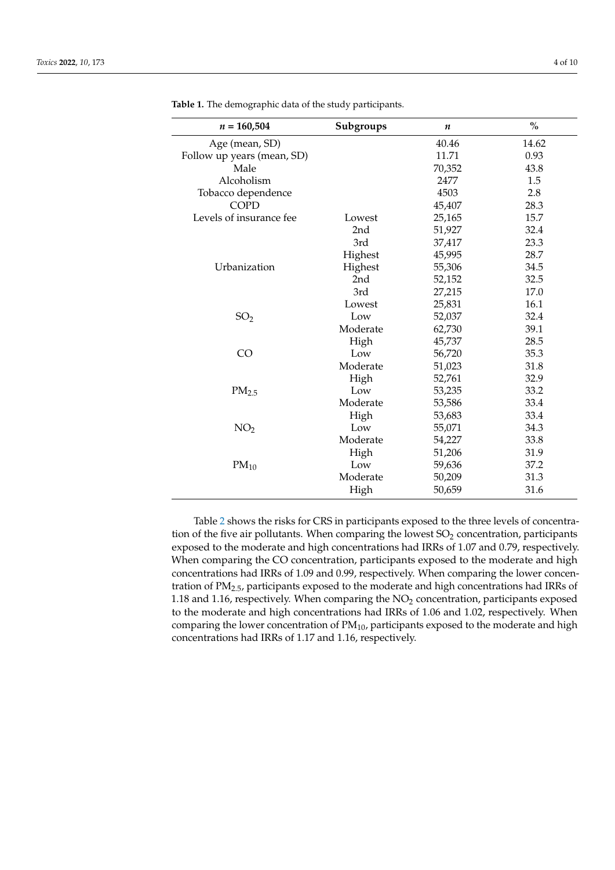| $n = 160,504$              | Subgroups | $\boldsymbol{n}$ | $\%$  |
|----------------------------|-----------|------------------|-------|
| Age (mean, SD)             |           | 40.46            | 14.62 |
| Follow up years (mean, SD) |           | 11.71            | 0.93  |
| Male                       |           | 70,352           | 43.8  |
| Alcoholism                 |           | 2477             | 1.5   |
| Tobacco dependence         |           | 4503             | 2.8   |
| <b>COPD</b>                |           | 45,407           | 28.3  |
| Levels of insurance fee    | Lowest    | 25,165           | 15.7  |
|                            | 2nd       | 51,927           | 32.4  |
|                            | 3rd       | 37,417           | 23.3  |
|                            | Highest   | 45,995           | 28.7  |
| Urbanization               | Highest   | 55,306           | 34.5  |
|                            | 2nd       | 52,152           | 32.5  |
|                            | 3rd       | 27,215           | 17.0  |
|                            | Lowest    | 25,831           | 16.1  |
| SO <sub>2</sub>            | Low       | 52,037           | 32.4  |
|                            | Moderate  | 62,730           | 39.1  |
|                            | High      | 45,737           | 28.5  |
| CO                         | Low       | 56,720           | 35.3  |
|                            | Moderate  | 51,023           | 31.8  |
|                            | High      | 52,761           | 32.9  |
| $PM_{2.5}$                 | Low       | 53,235           | 33.2  |
|                            | Moderate  | 53,586           | 33.4  |
|                            | High      | 53,683           | 33.4  |
| NO <sub>2</sub>            | Low       | 55,071           | 34.3  |
|                            | Moderate  | 54,227           | 33.8  |
|                            | High      | 51,206           | 31.9  |
| $PM_{10}$                  | Low       | 59,636           | 37.2  |
|                            | Moderate  | 50,209           | 31.3  |
|                            | High      | 50,659           | 31.6  |

<span id="page-3-0"></span>**Table 1.** The demographic data of the study participants.

Table [2](#page-4-0) shows the risks for CRS in participants exposed to the three levels of concentration of the five air pollutants. When comparing the lowest  $SO<sub>2</sub>$  concentration, participants exposed to the moderate and high concentrations had IRRs of 1.07 and 0.79, respectively. When comparing the CO concentration, participants exposed to the moderate and high concentrations had IRRs of 1.09 and 0.99, respectively. When comparing the lower concentration of PM2.5, participants exposed to the moderate and high concentrations had IRRs of 1.18 and 1.16, respectively. When comparing the  $NO<sub>2</sub>$  concentration, participants exposed to the moderate and high concentrations had IRRs of 1.06 and 1.02, respectively. When comparing the lower concentration of  $PM_{10}$ , participants exposed to the moderate and high concentrations had IRRs of 1.17 and 1.16, respectively.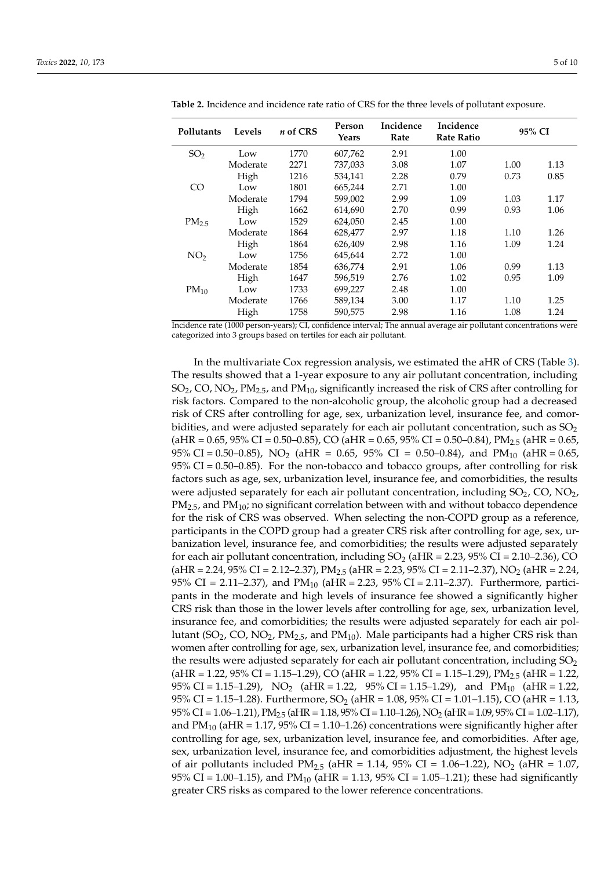| Pollutants        | Levels   | $n$ of CRS | Person<br>Years | Incidence<br>Rate | Incidence<br><b>Rate Ratio</b> |      | 95% CI |  |  |
|-------------------|----------|------------|-----------------|-------------------|--------------------------------|------|--------|--|--|
| SO <sub>2</sub>   | Low      | 1770       | 607,762         | 2.91              | 1.00                           |      |        |  |  |
|                   | Moderate | 2271       | 737,033         | 3.08              | 1.07                           | 1.00 | 1.13   |  |  |
|                   | High     | 1216       | 534,141         | 2.28              | 0.79                           | 0.73 | 0.85   |  |  |
| C <sub>O</sub>    | Low      | 1801       | 665,244         | 2.71              | 1.00                           |      |        |  |  |
|                   | Moderate | 1794       | 599,002         | 2.99              | 1.09                           | 1.03 | 1.17   |  |  |
|                   | High     | 1662       | 614,690         | 2.70              | 0.99                           | 0.93 | 1.06   |  |  |
| PM <sub>2.5</sub> | Low      | 1529       | 624,050         | 2.45              | 1.00                           |      |        |  |  |
|                   | Moderate | 1864       | 628,477         | 2.97              | 1.18                           | 1.10 | 1.26   |  |  |
|                   | High     | 1864       | 626,409         | 2.98              | 1.16                           | 1.09 | 1.24   |  |  |
| NO <sub>2</sub>   | Low      | 1756       | 645,644         | 2.72              | 1.00                           |      |        |  |  |
|                   | Moderate | 1854       | 636,774         | 2.91              | 1.06                           | 0.99 | 1.13   |  |  |
|                   | High     | 1647       | 596,519         | 2.76              | 1.02                           | 0.95 | 1.09   |  |  |
| $PM_{10}$         | Low      | 1733       | 699,227         | 2.48              | 1.00                           |      |        |  |  |
|                   | Moderate | 1766       | 589,134         | 3.00              | 1.17                           | 1.10 | 1.25   |  |  |
|                   | High     | 1758       | 590,575         | 2.98              | 1.16                           | 1.08 | 1.24   |  |  |

<span id="page-4-0"></span>**Table 2.** Incidence and incidence rate ratio of CRS for the three levels of pollutant exposure.

Incidence rate (1000 person-years); CI, confidence interval; The annual average air pollutant concentrations were categorized into 3 groups based on tertiles for each air pollutant.

In the multivariate Cox regression analysis, we estimated the aHR of CRS (Table [3\)](#page-5-0). The results showed that a 1-year exposure to any air pollutant concentration, including SO<sub>2</sub>, CO, NO<sub>2</sub>, PM<sub>2.5</sub>, and PM<sub>10</sub>, significantly increased the risk of CRS after controlling for risk factors. Compared to the non-alcoholic group, the alcoholic group had a decreased risk of CRS after controlling for age, sex, urbanization level, insurance fee, and comorbidities, and were adjusted separately for each air pollutant concentration, such as  $SO_2$  $(aHR = 0.65, 95\% \ CI = 0.50-0.85)$ , CO  $(aHR = 0.65, 95\% \ CI = 0.50-0.84)$ , PM<sub>2.5</sub>  $(aHR = 0.65, 95\% \ CI = 0.55)$ 95% CI = 0.50–0.85), NO<sub>2</sub> (aHR = 0.65, 95% CI = 0.50–0.84), and PM<sub>10</sub> (aHR = 0.65,  $95\%$  CI = 0.50–0.85). For the non-tobacco and tobacco groups, after controlling for risk factors such as age, sex, urbanization level, insurance fee, and comorbidities, the results were adjusted separately for each air pollutant concentration, including  $SO_2$ ,  $CO$ ,  $NO_2$ ,  $PM_{2.5}$ , and  $PM_{10}$ ; no significant correlation between with and without tobacco dependence for the risk of CRS was observed. When selecting the non-COPD group as a reference, participants in the COPD group had a greater CRS risk after controlling for age, sex, urbanization level, insurance fee, and comorbidities; the results were adjusted separately for each air pollutant concentration, including  $SO_2$  (aHR = 2.23, 95% CI = 2.10–2.36), CO  $(aHR = 2.24, 95\% \text{ CI} = 2.12 - 2.37), PM_{2.5} (aHR = 2.23, 95\% \text{ CI} = 2.11 - 2.37), NO_2 (aHR = 2.24, 95\% \text{ CI} = 2.11 - 2.37)$ 95% CI = 2.11–2.37), and  $PM_{10}$  (aHR = 2.23, 95% CI = 2.11–2.37). Furthermore, participants in the moderate and high levels of insurance fee showed a significantly higher CRS risk than those in the lower levels after controlling for age, sex, urbanization level, insurance fee, and comorbidities; the results were adjusted separately for each air pollutant (SO<sub>2</sub>, CO, NO<sub>2</sub>, PM<sub>2.5</sub>, and PM<sub>10</sub>). Male participants had a higher CRS risk than women after controlling for age, sex, urbanization level, insurance fee, and comorbidities; the results were adjusted separately for each air pollutant concentration, including  $SO_2$  $(aHR = 1.22, 95\% \text{ CI} = 1.15 - 1.29)$ , CO  $(aHR = 1.22, 95\% \text{ CI} = 1.15 - 1.29)$ , PM<sub>2.5</sub>  $(aHR = 1.22, 95\% \text{ CI} = 1.15 - 1.29)$ 95% CI = 1.15–1.29), NO<sub>2</sub> (aHR = 1.22, 95% CI = 1.15–1.29), and PM<sub>10</sub> (aHR = 1.22, 95% CI = 1.15–1.28). Furthermore,  $SO_2$  (aHR = 1.08, 95% CI = 1.01–1.15), CO (aHR = 1.13,  $95\%$  CI = 1.06–1.21), PM<sub>2.5</sub> (aHR = 1.18,  $95\%$  CI = 1.10–1.26), NO<sub>2</sub> (aHR = 1.09,  $95\%$  CI = 1.02–1.17), and  $PM_{10}$  (aHR = 1.17, 95% CI = 1.10–1.26) concentrations were significantly higher after controlling for age, sex, urbanization level, insurance fee, and comorbidities. After age, sex, urbanization level, insurance fee, and comorbidities adjustment, the highest levels of air pollutants included  $PM_{2.5}$  (aHR = 1.14, 95% CI = 1.06–1.22), NO<sub>2</sub> (aHR = 1.07, 95% CI = 1.00–1.15), and PM<sub>10</sub> (aHR = 1.13, 95% CI = 1.05–1.21); these had significantly greater CRS risks as compared to the lower reference concentrations.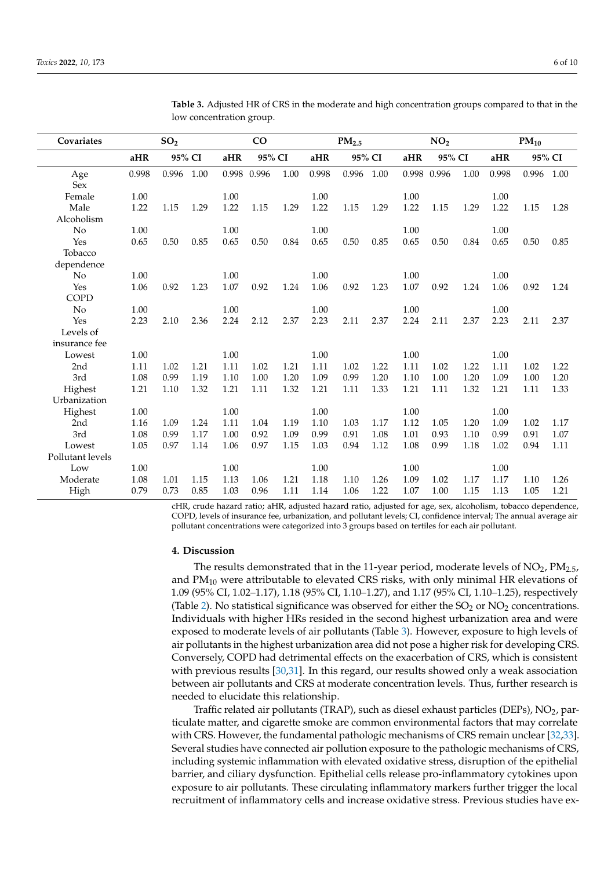| Covariates       | SO <sub>2</sub> |       |      | CO     |       | PM <sub>2.5</sub> |        | NO <sub>2</sub> |      |        | $PM_{10}$ |      |        |       |      |
|------------------|-----------------|-------|------|--------|-------|-------------------|--------|-----------------|------|--------|-----------|------|--------|-------|------|
|                  | 95% CI<br>aHR   |       | aHR  | 95% CI |       | aHR               | 95% CI |                 | aHR  | 95% CI |           | aHR  | 95% CI |       |      |
| Age              | 0.998           | 0.996 | 1.00 | 0.998  | 0.996 | 1.00              | 0.998  | 0.996           | 1.00 | 0.998  | 0.996     | 1.00 | 0.998  | 0.996 | 1.00 |
| Sex              |                 |       |      |        |       |                   |        |                 |      |        |           |      |        |       |      |
| Female           | 1.00            |       |      | 1.00   |       |                   | 1.00   |                 |      | 1.00   |           |      | 1.00   |       |      |
| Male             | 1.22            | 1.15  | 1.29 | 1.22   | 1.15  | 1.29              | 1.22   | 1.15            | 1.29 | 1.22   | 1.15      | 1.29 | 1.22   | 1.15  | 1.28 |
| Alcoholism       |                 |       |      |        |       |                   |        |                 |      |        |           |      |        |       |      |
| No               | 1.00            |       |      | 1.00   |       |                   | 1.00   |                 |      | 1.00   |           |      | 1.00   |       |      |
| Yes              | 0.65            | 0.50  | 0.85 | 0.65   | 0.50  | 0.84              | 0.65   | 0.50            | 0.85 | 0.65   | 0.50      | 0.84 | 0.65   | 0.50  | 0.85 |
| Tobacco          |                 |       |      |        |       |                   |        |                 |      |        |           |      |        |       |      |
| dependence       |                 |       |      |        |       |                   |        |                 |      |        |           |      |        |       |      |
| N <sub>o</sub>   | 1.00            |       |      | 1.00   |       |                   | 1.00   |                 |      | 1.00   |           |      | 1.00   |       |      |
| Yes              | 1.06            | 0.92  | 1.23 | 1.07   | 0.92  | 1.24              | 1.06   | 0.92            | 1.23 | 1.07   | 0.92      | 1.24 | 1.06   | 0.92  | 1.24 |
| <b>COPD</b>      |                 |       |      |        |       |                   |        |                 |      |        |           |      |        |       |      |
| No               | 1.00            |       |      | 1.00   |       |                   | 1.00   |                 |      | 1.00   |           |      | 1.00   |       |      |
| Yes              | 2.23            | 2.10  | 2.36 | 2.24   | 2.12  | 2.37              | 2.23   | 2.11            | 2.37 | 2.24   | 2.11      | 2.37 | 2.23   | 2.11  | 2.37 |
| Levels of        |                 |       |      |        |       |                   |        |                 |      |        |           |      |        |       |      |
| insurance fee    |                 |       |      |        |       |                   |        |                 |      |        |           |      |        |       |      |
| Lowest           | 1.00            |       |      | 1.00   |       |                   | 1.00   |                 |      | 1.00   |           |      | 1.00   |       |      |
| 2 <sub>nd</sub>  | 1.11            | 1.02  | 1.21 | 1.11   | 1.02  | 1.21              | 1.11   | 1.02            | 1.22 | 1.11   | 1.02      | 1.22 | 1.11   | 1.02  | 1.22 |
| 3rd              | 1.08            | 0.99  | 1.19 | 1.10   | 1.00  | 1.20              | 1.09   | 0.99            | 1.20 | 1.10   | 1.00      | 1.20 | 1.09   | 1.00  | 1.20 |
| Highest          | 1.21            | 1.10  | 1.32 | 1.21   | 1.11  | 1.32              | 1.21   | 1.11            | 1.33 | 1.21   | 1.11      | 1.32 | 1.21   | 1.11  | 1.33 |
| Urbanization     |                 |       |      |        |       |                   |        |                 |      |        |           |      |        |       |      |
| Highest          | 1.00            |       |      | 1.00   |       |                   | 1.00   |                 |      | 1.00   |           |      | 1.00   |       |      |
| 2 <sub>nd</sub>  | 1.16            | 1.09  | 1.24 | 1.11   | 1.04  | 1.19              | 1.10   | 1.03            | 1.17 | 1.12   | 1.05      | 1.20 | 1.09   | 1.02  | 1.17 |
| 3rd              | 1.08            | 0.99  | 1.17 | 1.00   | 0.92  | 1.09              | 0.99   | 0.91            | 1.08 | 1.01   | 0.93      | 1.10 | 0.99   | 0.91  | 1.07 |
| Lowest           | 1.05            | 0.97  | 1.14 | 1.06   | 0.97  | 1.15              | 1.03   | 0.94            | 1.12 | 1.08   | 0.99      | 1.18 | 1.02   | 0.94  | 1.11 |
| Pollutant levels |                 |       |      |        |       |                   |        |                 |      |        |           |      |        |       |      |
| Low              | 1.00            |       |      | 1.00   |       |                   | 1.00   |                 |      | 1.00   |           |      | 1.00   |       |      |
| Moderate         | 1.08            | 1.01  | 1.15 | 1.13   | 1.06  | 1.21              | 1.18   | 1.10            | 1.26 | 1.09   | 1.02      | 1.17 | 1.17   | 1.10  | 1.26 |
| High             | 0.79            | 0.73  | 0.85 | 1.03   | 0.96  | 1.11              | 1.14   | 1.06            | 1.22 | 1.07   | 1.00      | 1.15 | 1.13   | 1.05  | 1.21 |

<span id="page-5-0"></span>**Table 3.** Adjusted HR of CRS in the moderate and high concentration groups compared to that in the low concentration group.

cHR, crude hazard ratio; aHR, adjusted hazard ratio, adjusted for age, sex, alcoholism, tobacco dependence, COPD, levels of insurance fee, urbanization, and pollutant levels; CI, confidence interval; The annual average air pollutant concentrations were categorized into 3 groups based on tertiles for each air pollutant.

#### **4. Discussion**

The results demonstrated that in the 11-year period, moderate levels of  $NO<sub>2</sub>$ ,  $PM<sub>2.5</sub>$ , and  $PM_{10}$  were attributable to elevated CRS risks, with only minimal HR elevations of 1.09 (95% CI, 1.02–1.17), 1.18 (95% CI, 1.10–1.27), and 1.17 (95% CI, 1.10–1.25), respectively (Table [2\)](#page-4-0). No statistical significance was observed for either the  $SO_2$  or  $NO_2$  concentrations. Individuals with higher HRs resided in the second highest urbanization area and were exposed to moderate levels of air pollutants (Table [3\)](#page-5-0). However, exposure to high levels of air pollutants in the highest urbanization area did not pose a higher risk for developing CRS. Conversely, COPD had detrimental effects on the exacerbation of CRS, which is consistent with previous results [\[30](#page-8-15)[,31\]](#page-8-16). In this regard, our results showed only a weak association between air pollutants and CRS at moderate concentration levels. Thus, further research is needed to elucidate this relationship.

Traffic related air pollutants (TRAP), such as diesel exhaust particles (DEPs),  $NO<sub>2</sub>$ , particulate matter, and cigarette smoke are common environmental factors that may correlate with CRS. However, the fundamental pathologic mechanisms of CRS remain unclear [\[32](#page-8-17)[,33\]](#page-8-18). Several studies have connected air pollution exposure to the pathologic mechanisms of CRS, including systemic inflammation with elevated oxidative stress, disruption of the epithelial barrier, and ciliary dysfunction. Epithelial cells release pro-inflammatory cytokines upon exposure to air pollutants. These circulating inflammatory markers further trigger the local recruitment of inflammatory cells and increase oxidative stress. Previous studies have ex-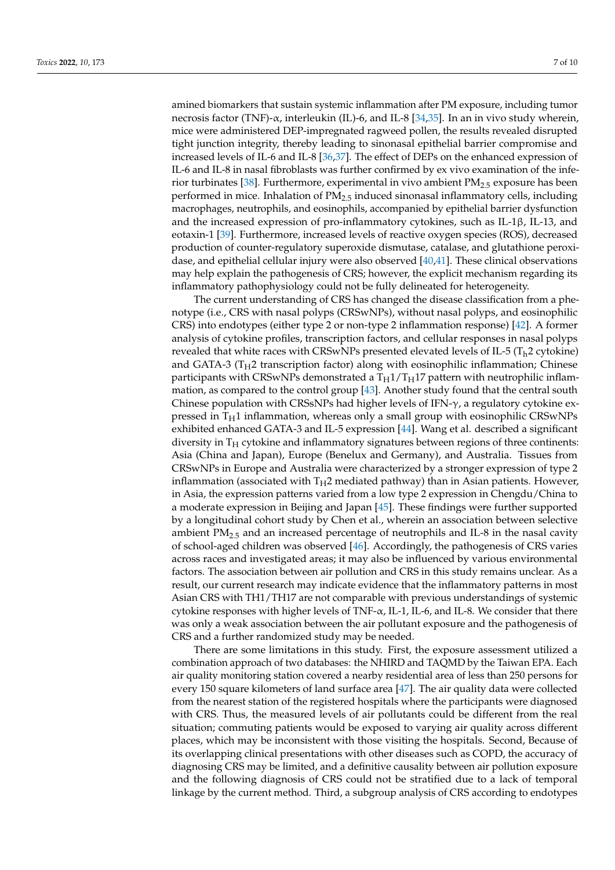amined biomarkers that sustain systemic inflammation after PM exposure, including tumor necrosis factor (TNF)-α, interleukin (IL)-6, and IL-8 [\[34,](#page-8-19)[35\]](#page-8-20). In an in vivo study wherein, mice were administered DEP-impregnated ragweed pollen, the results revealed disrupted tight junction integrity, thereby leading to sinonasal epithelial barrier compromise and increased levels of IL-6 and IL-8 [\[36,](#page-8-21)[37\]](#page-8-22). The effect of DEPs on the enhanced expression of IL-6 and IL-8 in nasal fibroblasts was further confirmed by ex vivo examination of the inferior turbinates [\[38\]](#page-8-23). Furthermore, experimental in vivo ambient PM2.5 exposure has been performed in mice. Inhalation of  $PM_{2.5}$  induced sinonasal inflammatory cells, including macrophages, neutrophils, and eosinophils, accompanied by epithelial barrier dysfunction and the increased expression of pro-inflammatory cytokines, such as IL-1 $\beta$ , IL-13, and eotaxin-1 [\[39\]](#page-9-0). Furthermore, increased levels of reactive oxygen species (ROS), decreased production of counter-regulatory superoxide dismutase, catalase, and glutathione peroxidase, and epithelial cellular injury were also observed [\[40,](#page-9-1)[41\]](#page-9-2). These clinical observations may help explain the pathogenesis of CRS; however, the explicit mechanism regarding its inflammatory pathophysiology could not be fully delineated for heterogeneity.

The current understanding of CRS has changed the disease classification from a phenotype (i.e., CRS with nasal polyps (CRSwNPs), without nasal polyps, and eosinophilic CRS) into endotypes (either type 2 or non-type 2 inflammation response) [\[42\]](#page-9-3). A former analysis of cytokine profiles, transcription factors, and cellular responses in nasal polyps revealed that white races with CRSwNPs presented elevated levels of IL-5 ( $T_h$ 2 cytokine) and GATA-3 ( $T_H$ 2 transcription factor) along with eosinophilic inflammation; Chinese participants with CRSwNPs demonstrated a  $T_H1/T_H17$  pattern with neutrophilic inflammation, as compared to the control group [\[43\]](#page-9-4). Another study found that the central south Chinese population with CRSsNPs had higher levels of IFN-γ, a regulatory cytokine expressed in  $T_H1$  inflammation, whereas only a small group with eosinophilic CRSwNPs exhibited enhanced GATA-3 and IL-5 expression [\[44\]](#page-9-5). Wang et al. described a significant diversity in  $T_H$  cytokine and inflammatory signatures between regions of three continents: Asia (China and Japan), Europe (Benelux and Germany), and Australia. Tissues from CRSwNPs in Europe and Australia were characterized by a stronger expression of type 2 inflammation (associated with  $T_H2$  mediated pathway) than in Asian patients. However, in Asia, the expression patterns varied from a low type 2 expression in Chengdu/China to a moderate expression in Beijing and Japan [\[45\]](#page-9-6). These findings were further supported by a longitudinal cohort study by Chen et al., wherein an association between selective ambient  $PM<sub>2.5</sub>$  and an increased percentage of neutrophils and IL-8 in the nasal cavity of school-aged children was observed [\[46\]](#page-9-7). Accordingly, the pathogenesis of CRS varies across races and investigated areas; it may also be influenced by various environmental factors. The association between air pollution and CRS in this study remains unclear. As a result, our current research may indicate evidence that the inflammatory patterns in most Asian CRS with TH1/TH17 are not comparable with previous understandings of systemic cytokine responses with higher levels of TNF- $\alpha$ , IL-1, IL-6, and IL-8. We consider that there was only a weak association between the air pollutant exposure and the pathogenesis of CRS and a further randomized study may be needed.

There are some limitations in this study. First, the exposure assessment utilized a combination approach of two databases: the NHIRD and TAQMD by the Taiwan EPA. Each air quality monitoring station covered a nearby residential area of less than 250 persons for every 150 square kilometers of land surface area [\[47\]](#page-9-8). The air quality data were collected from the nearest station of the registered hospitals where the participants were diagnosed with CRS. Thus, the measured levels of air pollutants could be different from the real situation; commuting patients would be exposed to varying air quality across different places, which may be inconsistent with those visiting the hospitals. Second, Because of its overlapping clinical presentations with other diseases such as COPD, the accuracy of diagnosing CRS may be limited, and a definitive causality between air pollution exposure and the following diagnosis of CRS could not be stratified due to a lack of temporal linkage by the current method. Third, a subgroup analysis of CRS according to endotypes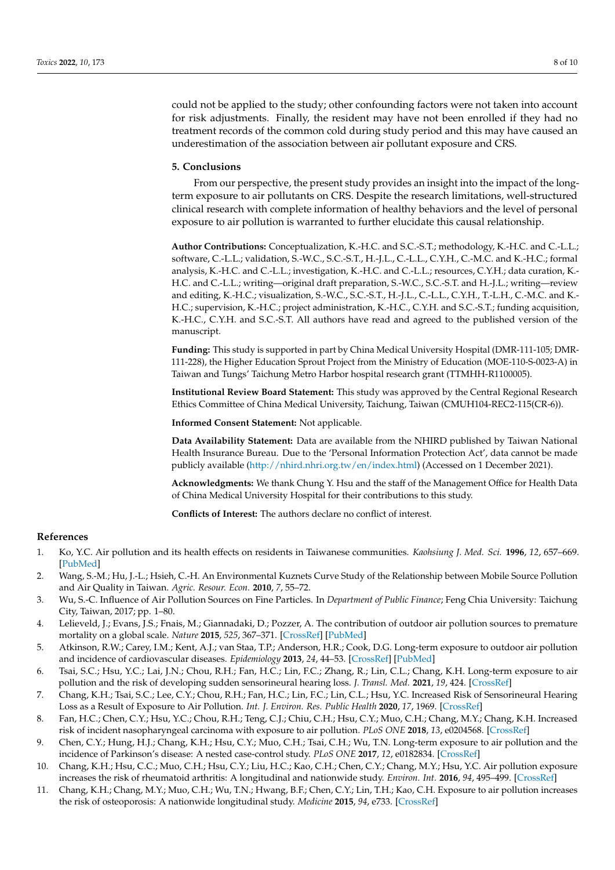could not be applied to the study; other confounding factors were not taken into account for risk adjustments. Finally, the resident may have not been enrolled if they had no treatment records of the common cold during study period and this may have caused an underestimation of the association between air pollutant exposure and CRS.

#### **5. Conclusions**

From our perspective, the present study provides an insight into the impact of the longterm exposure to air pollutants on CRS. Despite the research limitations, well-structured clinical research with complete information of healthy behaviors and the level of personal exposure to air pollution is warranted to further elucidate this causal relationship.

**Author Contributions:** Conceptualization, K.-H.C. and S.C.-S.T.; methodology, K.-H.C. and C.-L.L.; software, C.-L.L.; validation, S.-W.C., S.C.-S.T., H.-J.L., C.-L.L., C.Y.H., C.-M.C. and K.-H.C.; formal analysis, K.-H.C. and C.-L.L.; investigation, K.-H.C. and C.-L.L.; resources, C.Y.H.; data curation, K.- H.C. and C.-L.L.; writing—original draft preparation, S.-W.C., S.C.-S.T. and H.-J.L.; writing—review and editing, K.-H.C.; visualization, S.-W.C., S.C.-S.T., H.-J.L., C.-L.L., C.Y.H., T.-L.H., C.-M.C. and K.- H.C.; supervision, K.-H.C.; project administration, K.-H.C., C.Y.H. and S.C.-S.T.; funding acquisition, K.-H.C., C.Y.H. and S.C.-S.T. All authors have read and agreed to the published version of the manuscript.

**Funding:** This study is supported in part by China Medical University Hospital (DMR-111-105; DMR-111-228), the Higher Education Sprout Project from the Ministry of Education (MOE-110-S-0023-A) in Taiwan and Tungs' Taichung Metro Harbor hospital research grant (TTMHH-R1100005).

**Institutional Review Board Statement:** This study was approved by the Central Regional Research Ethics Committee of China Medical University, Taichung, Taiwan (CMUH104-REC2-115(CR-6)).

**Informed Consent Statement:** Not applicable.

**Data Availability Statement:** Data are available from the NHIRD published by Taiwan National Health Insurance Bureau. Due to the 'Personal Information Protection Act', data cannot be made publicly available [\(http://nhird.nhri.org.tw/en/index.html\)](http://nhird.nhri.org.tw/en/index.html) (Accessed on 1 December 2021).

**Acknowledgments:** We thank Chung Y. Hsu and the staff of the Management Office for Health Data of China Medical University Hospital for their contributions to this study.

**Conflicts of Interest:** The authors declare no conflict of interest.

### **References**

- <span id="page-7-0"></span>1. Ko, Y.C. Air pollution and its health effects on residents in Taiwanese communities. *Kaohsiung J. Med. Sci.* **1996**, *12*, 657–669. [\[PubMed\]](http://www.ncbi.nlm.nih.gov/pubmed/9011124)
- <span id="page-7-1"></span>2. Wang, S.-M.; Hu, J.-L.; Hsieh, C.-H. An Environmental Kuznets Curve Study of the Relationship between Mobile Source Pollution and Air Quality in Taiwan. *Agric. Resour. Econ.* **2010**, *7*, 55–72.
- <span id="page-7-2"></span>3. Wu, S.-C. Influence of Air Pollution Sources on Fine Particles. In *Department of Public Finance*; Feng Chia University: Taichung City, Taiwan, 2017; pp. 1–80.
- <span id="page-7-3"></span>4. Lelieveld, J.; Evans, J.S.; Fnais, M.; Giannadaki, D.; Pozzer, A. The contribution of outdoor air pollution sources to premature mortality on a global scale. *Nature* **2015**, *525*, 367–371. [\[CrossRef\]](http://doi.org/10.1038/nature15371) [\[PubMed\]](http://www.ncbi.nlm.nih.gov/pubmed/26381985)
- <span id="page-7-4"></span>5. Atkinson, R.W.; Carey, I.M.; Kent, A.J.; van Staa, T.P.; Anderson, H.R.; Cook, D.G. Long-term exposure to outdoor air pollution and incidence of cardiovascular diseases. *Epidemiology* **2013**, *24*, 44–53. [\[CrossRef\]](http://doi.org/10.1097/EDE.0b013e318276ccb8) [\[PubMed\]](http://www.ncbi.nlm.nih.gov/pubmed/23222514)
- <span id="page-7-5"></span>6. Tsai, S.C.; Hsu, Y.C.; Lai, J.N.; Chou, R.H.; Fan, H.C.; Lin, F.C.; Zhang, R.; Lin, C.L.; Chang, K.H. Long-term exposure to air pollution and the risk of developing sudden sensorineural hearing loss. *J. Transl. Med.* **2021**, *19*, 424. [\[CrossRef\]](http://doi.org/10.1186/s12967-021-03095-8)
- 7. Chang, K.H.; Tsai, S.C.; Lee, C.Y.; Chou, R.H.; Fan, H.C.; Lin, F.C.; Lin, C.L.; Hsu, Y.C. Increased Risk of Sensorineural Hearing Loss as a Result of Exposure to Air Pollution. *Int. J. Environ. Res. Public Health* **2020**, *17*, 1969. [\[CrossRef\]](http://doi.org/10.3390/ijerph17061969)
- <span id="page-7-6"></span>8. Fan, H.C.; Chen, C.Y.; Hsu, Y.C.; Chou, R.H.; Teng, C.J.; Chiu, C.H.; Hsu, C.Y.; Muo, C.H.; Chang, M.Y.; Chang, K.H. Increased risk of incident nasopharyngeal carcinoma with exposure to air pollution. *PLoS ONE* **2018**, *13*, e0204568. [\[CrossRef\]](http://doi.org/10.1371/journal.pone.0204568)
- 9. Chen, C.Y.; Hung, H.J.; Chang, K.H.; Hsu, C.Y.; Muo, C.H.; Tsai, C.H.; Wu, T.N. Long-term exposure to air pollution and the incidence of Parkinson's disease: A nested case-control study. *PLoS ONE* **2017**, *12*, e0182834. [\[CrossRef\]](http://doi.org/10.1371/journal.pone.0182834)
- 10. Chang, K.H.; Hsu, C.C.; Muo, C.H.; Hsu, C.Y.; Liu, H.C.; Kao, C.H.; Chen, C.Y.; Chang, M.Y.; Hsu, Y.C. Air pollution exposure increases the risk of rheumatoid arthritis: A longitudinal and nationwide study. *Environ. Int.* **2016**, *94*, 495–499. [\[CrossRef\]](http://doi.org/10.1016/j.envint.2016.06.008)
- 11. Chang, K.H.; Chang, M.Y.; Muo, C.H.; Wu, T.N.; Hwang, B.F.; Chen, C.Y.; Lin, T.H.; Kao, C.H. Exposure to air pollution increases the risk of osteoporosis: A nationwide longitudinal study. *Medicine* **2015**, *94*, e733. [\[CrossRef\]](http://doi.org/10.1097/MD.0000000000000733)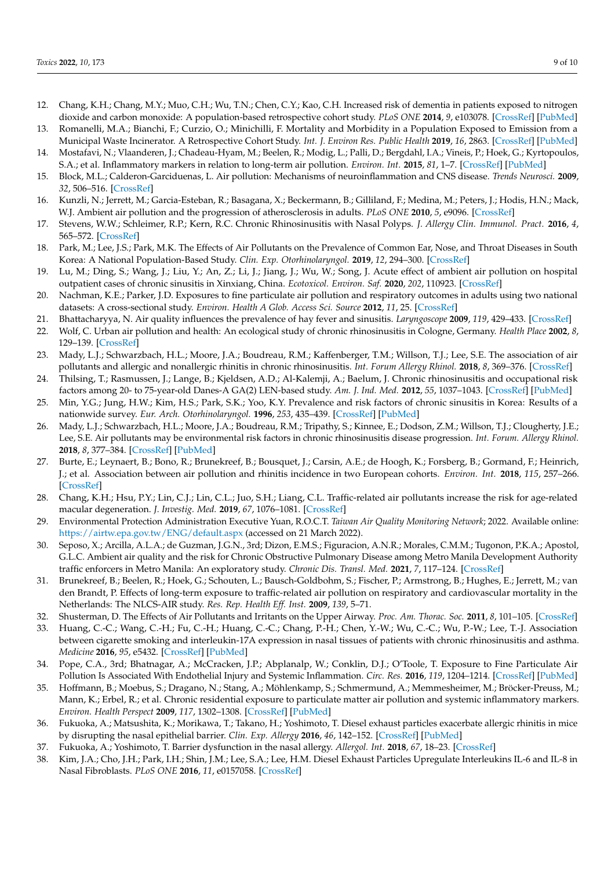- 12. Chang, K.H.; Chang, M.Y.; Muo, C.H.; Wu, T.N.; Chen, C.Y.; Kao, C.H. Increased risk of dementia in patients exposed to nitrogen dioxide and carbon monoxide: A population-based retrospective cohort study. *PLoS ONE* **2014**, *9*, e103078. [\[CrossRef\]](http://doi.org/10.1371/journal.pone.0103078) [\[PubMed\]](http://www.ncbi.nlm.nih.gov/pubmed/25115939)
- <span id="page-8-0"></span>13. Romanelli, M.A.; Bianchi, F.; Curzio, O.; Minichilli, F. Mortality and Morbidity in a Population Exposed to Emission from a Municipal Waste Incinerator. A Retrospective Cohort Study. *Int. J. Environ Res. Public Health* **2019**, *16*, 2863. [\[CrossRef\]](http://doi.org/10.3390/ijerph16162863) [\[PubMed\]](http://www.ncbi.nlm.nih.gov/pubmed/31405116) 14. Mostafavi, N.; Vlaanderen, J.; Chadeau-Hyam, M.; Beelen, R.; Modig, L.; Palli, D.; Bergdahl, I.A.; Vineis, P.; Hoek, G.; Kyrtopoulos,
- <span id="page-8-1"></span>S.A.; et al. Inflammatory markers in relation to long-term air pollution. *Environ. Int.* **2015**, *81*, 1–7. [\[CrossRef\]](http://doi.org/10.1016/j.envint.2015.04.003) [\[PubMed\]](http://www.ncbi.nlm.nih.gov/pubmed/25898227)
- 15. Block, M.L.; Calderon-Garciduenas, L. Air pollution: Mechanisms of neuroinflammation and CNS disease. *Trends Neurosci.* **2009**, *32*, 506–516. [\[CrossRef\]](http://doi.org/10.1016/j.tins.2009.05.009)
- <span id="page-8-2"></span>16. Kunzli, N.; Jerrett, M.; Garcia-Esteban, R.; Basagana, X.; Beckermann, B.; Gilliland, F.; Medina, M.; Peters, J.; Hodis, H.N.; Mack, W.J. Ambient air pollution and the progression of atherosclerosis in adults. *PLoS ONE* **2010**, *5*, e9096. [\[CrossRef\]](http://doi.org/10.1371/annotation/21f6b02b-e533-46ca-9356-86a0eef8434e)
- <span id="page-8-3"></span>17. Stevens, W.W.; Schleimer, R.P.; Kern, R.C. Chronic Rhinosinusitis with Nasal Polyps. *J. Allergy Clin. Immunol. Pract.* **2016**, *4*, 565–572. [\[CrossRef\]](http://doi.org/10.1016/j.jaip.2016.04.012)
- <span id="page-8-4"></span>18. Park, M.; Lee, J.S.; Park, M.K. The Effects of Air Pollutants on the Prevalence of Common Ear, Nose, and Throat Diseases in South Korea: A National Population-Based Study. *Clin. Exp. Otorhinolaryngol.* **2019**, *12*, 294–300. [\[CrossRef\]](http://doi.org/10.21053/ceo.2018.00612)
- <span id="page-8-5"></span>19. Lu, M.; Ding, S.; Wang, J.; Liu, Y.; An, Z.; Li, J.; Jiang, J.; Wu, W.; Song, J. Acute effect of ambient air pollution on hospital outpatient cases of chronic sinusitis in Xinxiang, China. *Ecotoxicol. Environ. Saf.* **2020**, *202*, 110923. [\[CrossRef\]](http://doi.org/10.1016/j.ecoenv.2020.110923)
- <span id="page-8-6"></span>20. Nachman, K.E.; Parker, J.D. Exposures to fine particulate air pollution and respiratory outcomes in adults using two national datasets: A cross-sectional study. *Environ. Health A Glob. Access Sci. Source* **2012**, *11*, 25. [\[CrossRef\]](http://doi.org/10.1186/1476-069X-11-25)
- <span id="page-8-7"></span>21. Bhattacharyya, N. Air quality influences the prevalence of hay fever and sinusitis. *Laryngoscope* **2009**, *119*, 429–433. [\[CrossRef\]](http://doi.org/10.1002/lary.20097)
- 22. Wolf, C. Urban air pollution and health: An ecological study of chronic rhinosinusitis in Cologne, Germany. *Health Place* **2002**, *8*, 129–139. [\[CrossRef\]](http://doi.org/10.1016/S1353-8292(01)00040-5)
- <span id="page-8-8"></span>23. Mady, L.J.; Schwarzbach, H.L.; Moore, J.A.; Boudreau, R.M.; Kaffenberger, T.M.; Willson, T.J.; Lee, S.E. The association of air pollutants and allergic and nonallergic rhinitis in chronic rhinosinusitis. *Int. Forum Allergy Rhinol.* **2018**, *8*, 369–376. [\[CrossRef\]](http://doi.org/10.1002/alr.22060)
- <span id="page-8-9"></span>24. Thilsing, T.; Rasmussen, J.; Lange, B.; Kjeldsen, A.D.; Al-Kalemji, A.; Baelum, J. Chronic rhinosinusitis and occupational risk factors among 20- to 75-year-old Danes-A GA(2) LEN-based study. *Am. J. Ind. Med.* **2012**, *55*, 1037–1043. [\[CrossRef\]](http://doi.org/10.1002/ajim.22074) [\[PubMed\]](http://www.ncbi.nlm.nih.gov/pubmed/22648974)
- <span id="page-8-10"></span>25. Min, Y.G.; Jung, H.W.; Kim, H.S.; Park, S.K.; Yoo, K.Y. Prevalence and risk factors of chronic sinusitis in Korea: Results of a nationwide survey. *Eur. Arch. Otorhinolaryngol.* **1996**, *253*, 435–439. [\[CrossRef\]](http://doi.org/10.1007/BF00168498) [\[PubMed\]](http://www.ncbi.nlm.nih.gov/pubmed/8891490)
- <span id="page-8-11"></span>26. Mady, L.J.; Schwarzbach, H.L.; Moore, J.A.; Boudreau, R.M.; Tripathy, S.; Kinnee, E.; Dodson, Z.M.; Willson, T.J.; Clougherty, J.E.; Lee, S.E. Air pollutants may be environmental risk factors in chronic rhinosinusitis disease progression. *Int. Forum. Allergy Rhinol.* **2018**, *8*, 377–384. [\[CrossRef\]](http://doi.org/10.1002/alr.22052) [\[PubMed\]](http://www.ncbi.nlm.nih.gov/pubmed/29210519)
- <span id="page-8-12"></span>27. Burte, E.; Leynaert, B.; Bono, R.; Brunekreef, B.; Bousquet, J.; Carsin, A.E.; de Hoogh, K.; Forsberg, B.; Gormand, F.; Heinrich, J.; et al. Association between air pollution and rhinitis incidence in two European cohorts. *Environ. Int.* **2018**, *115*, 257–266. [\[CrossRef\]](http://doi.org/10.1016/j.envint.2018.03.021)
- <span id="page-8-13"></span>28. Chang, K.H.; Hsu, P.Y.; Lin, C.J.; Lin, C.L.; Juo, S.H.; Liang, C.L. Traffic-related air pollutants increase the risk for age-related macular degeneration. *J. Investig. Med.* **2019**, *67*, 1076–1081. [\[CrossRef\]](http://doi.org/10.1136/jim-2019-001007)
- <span id="page-8-14"></span>29. Environmental Protection Administration Executive Yuan, R.O.C.T. *Taiwan Air Quality Monitoring Network*; 2022. Available online: <https://airtw.epa.gov.tw/ENG/default.aspx> (accessed on 21 March 2022).
- <span id="page-8-15"></span>30. Seposo, X.; Arcilla, A.L.A.; de Guzman, J.G.N., 3rd; Dizon, E.M.S.; Figuracion, A.N.R.; Morales, C.M.M.; Tugonon, P.K.A.; Apostol, G.L.C. Ambient air quality and the risk for Chronic Obstructive Pulmonary Disease among Metro Manila Development Authority traffic enforcers in Metro Manila: An exploratory study. *Chronic Dis. Transl. Med.* **2021**, *7*, 117–124. [\[CrossRef\]](http://doi.org/10.1016/j.cdtm.2021.01.002)
- <span id="page-8-16"></span>31. Brunekreef, B.; Beelen, R.; Hoek, G.; Schouten, L.; Bausch-Goldbohm, S.; Fischer, P.; Armstrong, B.; Hughes, E.; Jerrett, M.; van den Brandt, P. Effects of long-term exposure to traffic-related air pollution on respiratory and cardiovascular mortality in the Netherlands: The NLCS-AIR study. *Res. Rep. Health Eff. Inst.* **2009**, *139*, 5–71.
- <span id="page-8-17"></span>32. Shusterman, D. The Effects of Air Pollutants and Irritants on the Upper Airway. *Proc. Am. Thorac. Soc.* **2011**, *8*, 101–105. [\[CrossRef\]](http://doi.org/10.1513/pats.201003-027RN)
- <span id="page-8-18"></span>33. Huang, C.-C.; Wang, C.-H.; Fu, C.-H.; Huang, C.-C.; Chang, P.-H.; Chen, Y.-W.; Wu, C.-C.; Wu, P.-W.; Lee, T.-J. Association between cigarette smoking and interleukin-17A expression in nasal tissues of patients with chronic rhinosinusitis and asthma. *Medicine* **2016**, *95*, e5432. [\[CrossRef\]](http://doi.org/10.1097/MD.0000000000005432) [\[PubMed\]](http://www.ncbi.nlm.nih.gov/pubmed/27893686)
- <span id="page-8-19"></span>34. Pope, C.A., 3rd; Bhatnagar, A.; McCracken, J.P.; Abplanalp, W.; Conklin, D.J.; O'Toole, T. Exposure to Fine Particulate Air Pollution Is Associated With Endothelial Injury and Systemic Inflammation. *Circ. Res.* **2016**, *119*, 1204–1214. [\[CrossRef\]](http://doi.org/10.1161/CIRCRESAHA.116.309279) [\[PubMed\]](http://www.ncbi.nlm.nih.gov/pubmed/27780829)
- <span id="page-8-20"></span>35. Hoffmann, B.; Moebus, S.; Dragano, N.; Stang, A.; Möhlenkamp, S.; Schmermund, A.; Memmesheimer, M.; Bröcker-Preuss, M.; Mann, K.; Erbel, R.; et al. Chronic residential exposure to particulate matter air pollution and systemic inflammatory markers. *Environ. Health Perspect* **2009**, *117*, 1302–1308. [\[CrossRef\]](http://doi.org/10.1289/ehp.0800362) [\[PubMed\]](http://www.ncbi.nlm.nih.gov/pubmed/19672412)
- <span id="page-8-21"></span>36. Fukuoka, A.; Matsushita, K.; Morikawa, T.; Takano, H.; Yoshimoto, T. Diesel exhaust particles exacerbate allergic rhinitis in mice by disrupting the nasal epithelial barrier. *Clin. Exp. Allergy* **2016**, *46*, 142–152. [\[CrossRef\]](http://doi.org/10.1111/cea.12597) [\[PubMed\]](http://www.ncbi.nlm.nih.gov/pubmed/26201369)
- <span id="page-8-22"></span>37. Fukuoka, A.; Yoshimoto, T. Barrier dysfunction in the nasal allergy. *Allergol. Int.* **2018**, *67*, 18–23. [\[CrossRef\]](http://doi.org/10.1016/j.alit.2017.10.006)
- <span id="page-8-23"></span>38. Kim, J.A.; Cho, J.H.; Park, I.H.; Shin, J.M.; Lee, S.A.; Lee, H.M. Diesel Exhaust Particles Upregulate Interleukins IL-6 and IL-8 in Nasal Fibroblasts. *PLoS ONE* **2016**, *11*, e0157058. [\[CrossRef\]](http://doi.org/10.1371/journal.pone.0157058)